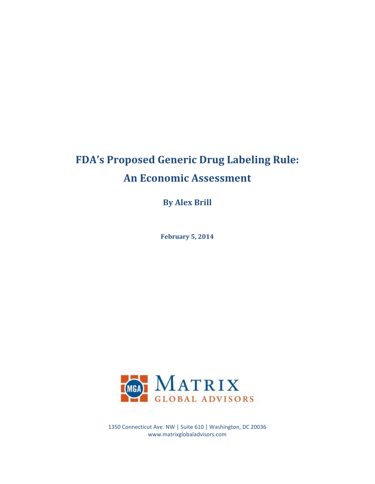# **FDA's Proposed Generic Drug Labeling Rule: An Economic Assessment**

**By Alex Brill**

**February 5, 2014**



1350 Connecticut Ave. NW | Suite 610 | Washington, DC 20036 www.matrixglobaladvisors.com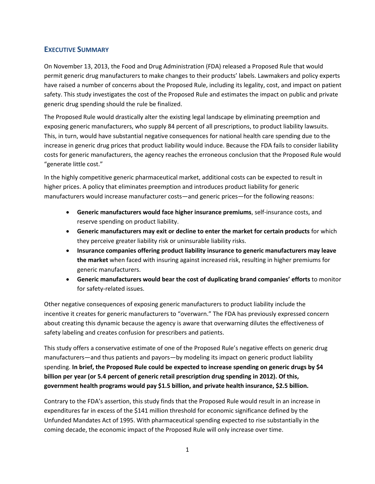## **EXECUTIVE SUMMARY**

On November 13, 2013, the Food and Drug Administration (FDA) released a Proposed Rule that would permit generic drug manufacturers to make changes to their products' labels. Lawmakers and policy experts have raised a number of concerns about the Proposed Rule, including its legality, cost, and impact on patient safety. This study investigates the cost of the Proposed Rule and estimates the impact on public and private generic drug spending should the rule be finalized.

The Proposed Rule would drastically alter the existing legal landscape by eliminating preemption and exposing generic manufacturers, who supply 84 percent of all prescriptions, to product liability lawsuits. This, in turn, would have substantial negative consequences for national health care spending due to the increase in generic drug prices that product liability would induce. Because the FDA fails to consider liability costs for generic manufacturers, the agency reaches the erroneous conclusion that the Proposed Rule would "generate little cost."

In the highly competitive generic pharmaceutical market, additional costs can be expected to result in higher prices. A policy that eliminates preemption and introduces product liability for generic manufacturers would increase manufacturer costs—and generic prices—for the following reasons:

- **Generic manufacturers would face higher insurance premiums**, self-insurance costs, and reserve spending on product liability.
- **Generic manufacturers may exit or decline to enter the market for certain products** for which they perceive greater liability risk or uninsurable liability risks.
- **Insurance companies offering product liability insurance to generic manufacturers may leave the market** when faced with insuring against increased risk, resulting in higher premiums for generic manufacturers.
- **Generic manufacturers would bear the cost of duplicating brand companies' efforts** to monitor for safety-related issues.

Other negative consequences of exposing generic manufacturers to product liability include the incentive it creates for generic manufacturers to "overwarn." The FDA has previously expressed concern about creating this dynamic because the agency is aware that overwarning dilutes the effectiveness of safety labeling and creates confusion for prescribers and patients.

This study offers a conservative estimate of one of the Proposed Rule's negative effects on generic drug manufacturers—and thus patients and payors—by modeling its impact on generic product liability spending. **In brief, the Proposed Rule could be expected to increase spending on generic drugs by \$4 billion per year (or 5.4 percent of generic retail prescription drug spending in 2012). Of this, government health programs would pay \$1.5 billion, and private health insurance, \$2.5 billion.**

Contrary to the FDA's assertion, this study finds that the Proposed Rule would result in an increase in expenditures far in excess of the \$141 million threshold for economic significance defined by the Unfunded Mandates Act of 1995. With pharmaceutical spending expected to rise substantially in the coming decade, the economic impact of the Proposed Rule will only increase over time.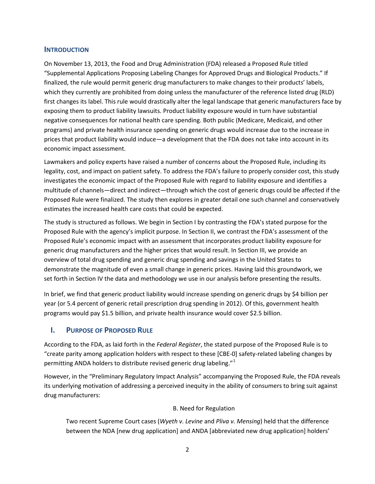#### **INTRODUCTION**

On November 13, 2013, the Food and Drug Administration (FDA) released a Proposed Rule titled "Supplemental Applications Proposing Labeling Changes for Approved Drugs and Biological Products." If finalized, the rule would permit generic drug manufacturers to make changes to their products' labels, which they currently are prohibited from doing unless the manufacturer of the reference listed drug (RLD) first changes its label. This rule would drastically alter the legal landscape that generic manufacturers face by exposing them to product liability lawsuits. Product liability exposure would in turn have substantial negative consequences for national health care spending. Both public (Medicare, Medicaid, and other programs) and private health insurance spending on generic drugs would increase due to the increase in prices that product liability would induce—a development that the FDA does not take into account in its economic impact assessment.

Lawmakers and policy experts have raised a number of concerns about the Proposed Rule, including its legality, cost, and impact on patient safety. To address the FDA's failure to properly consider cost, this study investigates the economic impact of the Proposed Rule with regard to liability exposure and identifies a multitude of channels—direct and indirect—through which the cost of generic drugs could be affected if the Proposed Rule were finalized. The study then explores in greater detail one such channel and conservatively estimates the increased health care costs that could be expected.

The study is structured as follows. We begin in Section I by contrasting the FDA's stated purpose for the Proposed Rule with the agency's implicit purpose. In Section II, we contrast the FDA's assessment of the Proposed Rule's economic impact with an assessment that incorporates product liability exposure for generic drug manufacturers and the higher prices that would result. In Section III, we provide an overview of total drug spending and generic drug spending and savings in the United States to demonstrate the magnitude of even a small change in generic prices. Having laid this groundwork, we set forth in Section IV the data and methodology we use in our analysis before presenting the results.

In brief, we find that generic product liability would increase spending on generic drugs by \$4 billion per year (or 5.4 percent of generic retail prescription drug spending in 2012). Of this, government health programs would pay \$1.5 billion, and private health insurance would cover \$2.5 billion.

## **I. PURPOSE OF PROPOSED RULE**

According to the FDA, as laid forth in the *Federal Register*, the stated purpose of the Proposed Rule is to "create parity among application holders with respect to these [CBE-0] safety-related labeling changes by permitting ANDA holders to distribute revised generic drug labeling."<sup>[1](#page-13-0)</sup>

However, in the "Preliminary Regulatory Impact Analysis" accompanying the Proposed Rule, the FDA reveals its underlying motivation of addressing a perceived inequity in the ability of consumers to bring suit against drug manufacturers:

### B. Need for Regulation

Two recent Supreme Court cases (*Wyeth v. Levine* and *Pliva v. Mensing*) held that the difference between the NDA [new drug application] and ANDA [abbreviated new drug application] holders'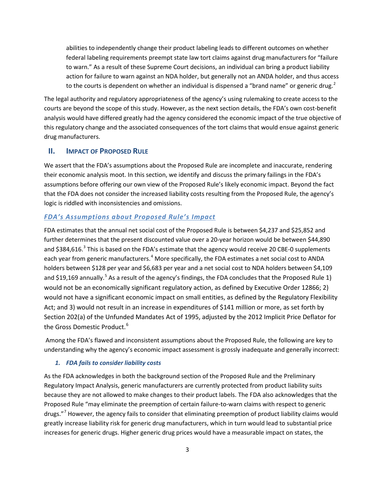abilities to independently change their product labeling leads to different outcomes on whether federal labeling requirements preempt state law tort claims against drug manufacturers for "failure to warn." As a result of these Supreme Court decisions, an individual can bring a product liability action for failure to warn against an NDA holder, but generally not an ANDA holder, and thus access to the courts is dependent on whether an individual is dispensed a "brand name" or generic drug.<sup>[2](#page-14-0)</sup>

The legal authority and regulatory appropriateness of the agency's using rulemaking to create access to the courts are beyond the scope of this study. However, as the next section details, the FDA's own cost-benefit analysis would have differed greatly had the agency considered the economic impact of the true objective of this regulatory change and the associated consequences of the tort claims that would ensue against generic drug manufacturers.

## **II. IMPACT OF PROPOSED RULE**

We assert that the FDA's assumptions about the Proposed Rule are incomplete and inaccurate, rendering their economic analysis moot. In this section, we identify and discuss the primary failings in the FDA's assumptions before offering our own view of the Proposed Rule's likely economic impact. Beyond the fact that the FDA does not consider the increased liability costs resulting from the Proposed Rule, the agency's logic is riddled with inconsistencies and omissions.

## *FDA's Assumptions about Proposed Rule's Impact*

FDA estimates that the annual net social cost of the Proposed Rule is between \$4,237 and \$25,852 and further determines that the present discounted value over a 20-year horizon would be between \$44,890 and \$[3](#page-14-1)84,616.<sup>3</sup> This is based on the FDA's estimate that the agency would receive 20 CBE-0 supplements each year from generic manufacturers.<sup>[4](#page-14-2)</sup> More specifically, the FDA estimates a net social cost to ANDA holders between \$128 per year and \$6,683 per year and a net social cost to NDA holders between \$4,109 and \$19,169 annually.<sup>[5](#page-14-3)</sup> As a result of the agency's findings, the FDA concludes that the Proposed Rule 1) would not be an economically significant regulatory action, as defined by Executive Order 12866; 2) would not have a significant economic impact on small entities, as defined by the Regulatory Flexibility Act; and 3) would not result in an increase in expenditures of \$141 million or more, as set forth by Section 202(a) of the Unfunded Mandates Act of 1995, adjusted by the 2012 Implicit Price Deflator for the Gross Domestic Product. [6](#page-14-4)

Among the FDA's flawed and inconsistent assumptions about the Proposed Rule, the following are key to understanding why the agency's economic impact assessment is grossly inadequate and generally incorrect:

## *1. FDA fails to consider liability costs*

As the FDA acknowledges in both the background section of the Proposed Rule and the Preliminary Regulatory Impact Analysis, generic manufacturers are currently protected from product liability suits because they are not allowed to make changes to their product labels. The FDA also acknowledges that the Proposed Rule "may eliminate the preemption of certain failure-to-warn claims with respect to generic drugs."[7](#page-14-5) However, the agency fails to consider that eliminating preemption of product liability claims would greatly increase liability risk for generic drug manufacturers, which in turn would lead to substantial price increases for generic drugs. Higher generic drug prices would have a measurable impact on states, the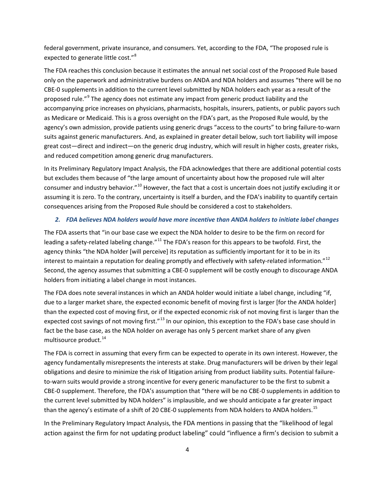federal government, private insurance, and consumers. Yet, according to the FDA, "The proposed rule is expected to generate little cost."<sup>[8](#page-14-6)</sup>

The FDA reaches this conclusion because it estimates the annual net social cost of the Proposed Rule based only on the paperwork and administrative burdens on ANDA and NDA holders and assumes "there will be no CBE-0 supplements in addition to the current level submitted by NDA holders each year as a result of the proposed rule."<sup>[9](#page-14-7)</sup> The agency does not estimate any impact from generic product liability and the accompanying price increases on physicians, pharmacists, hospitals, insurers, patients, or public payors such as Medicare or Medicaid. This is a gross oversight on the FDA's part, as the Proposed Rule would, by the agency's own admission, provide patients using generic drugs "access to the courts" to bring failure-to-warn suits against generic manufacturers. And, as explained in greater detail below, such tort liability will impose great cost—direct and indirect—on the generic drug industry, which will result in higher costs, greater risks, and reduced competition among generic drug manufacturers.

In its Preliminary Regulatory Impact Analysis, the FDA acknowledges that there are additional potential costs but excludes them because of "the large amount of uncertainty about how the proposed rule will alter consumer and industry behavior."[10](#page-14-8) However, the fact that a cost is uncertain does not justify excluding it or assuming it is zero. To the contrary, uncertainty is itself a burden, and the FDA's inability to quantify certain consequences arising from the Proposed Rule should be considered a cost to stakeholders.

#### *2. FDA believes NDA holders would have more incentive than ANDA holders to initiate label changes*

The FDA asserts that "in our base case we expect the NDA holder to desire to be the firm on record for leading a safety-related labeling change."<sup>[11](#page-14-9)</sup> The FDA's reason for this appears to be twofold. First, the agency thinks "the NDA holder [will perceive] its reputation as sufficiently important for it to be in its interest to maintain a reputation for dealing promptly and effectively with safety-related information."<sup>[12](#page-14-10)</sup> Second, the agency assumes that submitting a CBE-0 supplement will be costly enough to discourage ANDA holders from initiating a label change in most instances.

The FDA does note several instances in which an ANDA holder would initiate a label change, including "if, due to a larger market share, the expected economic benefit of moving first is larger [for the ANDA holder] than the expected cost of moving first, or if the expected economic risk of not moving first is larger than the expected cost savings of not moving first."<sup>[13](#page-14-11)</sup> In our opinion, this exception to the FDA's base case should in fact be the base case, as the NDA holder on average has only 5 percent market share of any given multisource product.<sup>[14](#page-14-12)</sup>

The FDA is correct in assuming that every firm can be expected to operate in its own interest. However, the agency fundamentally misrepresents the interests at stake. Drug manufacturers will be driven by their legal obligations and desire to minimize the risk of litigation arising from product liability suits. Potential failureto-warn suits would provide a strong incentive for every generic manufacturer to be the first to submit a CBE-0 supplement. Therefore, the FDA's assumption that "there will be no CBE-0 supplements in addition to the current level submitted by NDA holders" is implausible, and we should anticipate a far greater impact than the agency's estimate of a shift of 20 CBE-0 supplements from NDA holders to ANDA holders.<sup>[15](#page-14-13)</sup>

In the Preliminary Regulatory Impact Analysis, the FDA mentions in passing that the "likelihood of legal action against the firm for not updating product labeling" could "influence a firm's decision to submit a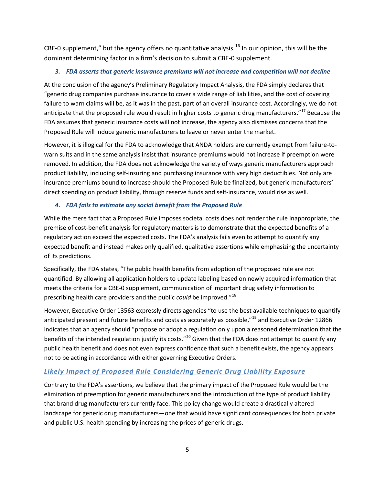CBE-0 supplement," but the agency offers no quantitative analysis.<sup>[16](#page-14-14)</sup> In our opinion, this will be the dominant determining factor in a firm's decision to submit a CBE-0 supplement.

## *3. FDA asserts that generic insurance premiums will not increase and competition will not decline*

At the conclusion of the agency's Preliminary Regulatory Impact Analysis, the FDA simply declares that "generic drug companies purchase insurance to cover a wide range of liabilities, and the cost of covering failure to warn claims will be, as it was in the past, part of an overall insurance cost. Accordingly, we do not anticipate that the proposed rule would result in higher costs to generic drug manufacturers."<sup>[17](#page-14-15)</sup> Because the FDA assumes that generic insurance costs will not increase, the agency also dismisses concerns that the Proposed Rule will induce generic manufacturers to leave or never enter the market.

However, it is illogical for the FDA to acknowledge that ANDA holders are currently exempt from failure-towarn suits and in the same analysis insist that insurance premiums would not increase if preemption were removed. In addition, the FDA does not acknowledge the variety of ways generic manufacturers approach product liability, including self-insuring and purchasing insurance with very high deductibles. Not only are insurance premiums bound to increase should the Proposed Rule be finalized, but generic manufacturers' direct spending on product liability, through reserve funds and self-insurance, would rise as well.

## *4. FDA fails to estimate any social benefit from the Proposed Rule*

While the mere fact that a Proposed Rule imposes societal costs does not render the rule inappropriate, the premise of cost-benefit analysis for regulatory matters is to demonstrate that the expected benefits of a regulatory action exceed the expected costs. The FDA's analysis fails even to attempt to quantify any expected benefit and instead makes only qualified, qualitative assertions while emphasizing the uncertainty of its predictions.

Specifically, the FDA states, "The public health benefits from adoption of the proposed rule are not quantified. By allowing all application holders to update labeling based on newly acquired information that meets the criteria for a CBE-0 supplement, communication of important drug safety information to prescribing health care providers and the public *could* be improved."[18](#page-14-16)

However, Executive Order 13563 expressly directs agencies "to use the best available techniques to quantify anticipated present and future benefits and costs as accurately as possible,"<sup>[19](#page-14-17)</sup> and Executive Order 12866 indicates that an agency should "propose or adopt a regulation only upon a reasoned determination that the benefits of the intended regulation justify its costs."<sup>[20](#page-14-18)</sup> Given that the FDA does not attempt to quantify any public health benefit and does not even express confidence that such a benefit exists, the agency appears not to be acting in accordance with either governing Executive Orders.

## *Likely Impact of Proposed Rule Considering Generic Drug Liability Exposure*

Contrary to the FDA's assertions, we believe that the primary impact of the Proposed Rule would be the elimination of preemption for generic manufacturers and the introduction of the type of product liability that brand drug manufacturers currently face. This policy change would create a drastically altered landscape for generic drug manufacturers—one that would have significant consequences for both private and public U.S. health spending by increasing the prices of generic drugs.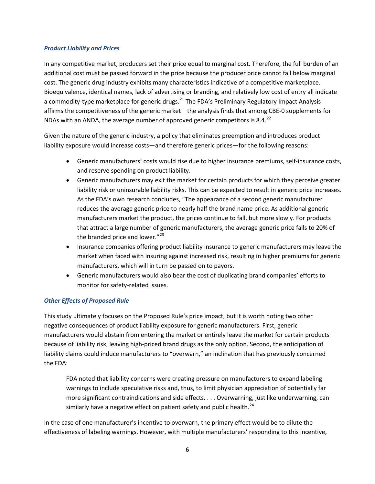#### *Product Liability and Prices*

In any competitive market, producers set their price equal to marginal cost. Therefore, the full burden of an additional cost must be passed forward in the price because the producer price cannot fall below marginal cost. The generic drug industry exhibits many characteristics indicative of a competitive marketplace. Bioequivalence, identical names, lack of advertising or branding, and relatively low cost of entry all indicate a commodity-type marketplace for generic drugs.<sup>[21](#page-14-19)</sup> The FDA's Preliminary Regulatory Impact Analysis affirms the competitiveness of the generic market—the analysis finds that among CBE-0 supplements for NDAs with an ANDA, the average number of approved generic competitors is 8.4. $^{22}$  $^{22}$  $^{22}$ 

Given the nature of the generic industry, a policy that eliminates preemption and introduces product liability exposure would increase costs—and therefore generic prices—for the following reasons:

- Generic manufacturers' costs would rise due to higher insurance premiums, self-insurance costs, and reserve spending on product liability.
- Generic manufacturers may exit the market for certain products for which they perceive greater liability risk or uninsurable liability risks. This can be expected to result in generic price increases. As the FDA's own research concludes, "The appearance of a second generic manufacturer reduces the average generic price to nearly half the brand name price. As additional generic manufacturers market the product, the prices continue to fall, but more slowly. For products that attract a large number of generic manufacturers, the average generic price falls to 20% of the branded price and lower. $"^{23}$  $"^{23}$  $"^{23}$
- Insurance companies offering product liability insurance to generic manufacturers may leave the market when faced with insuring against increased risk, resulting in higher premiums for generic manufacturers, which will in turn be passed on to payors.
- Generic manufacturers would also bear the cost of duplicating brand companies' efforts to monitor for safety-related issues.

### *Other Effects of Proposed Rule*

This study ultimately focuses on the Proposed Rule's price impact, but it is worth noting two other negative consequences of product liability exposure for generic manufacturers. First, generic manufacturers would abstain from entering the market or entirely leave the market for certain products because of liability risk, leaving high-priced brand drugs as the only option. Second, the anticipation of liability claims could induce manufacturers to "overwarn," an inclination that has previously concerned the FDA:

FDA noted that liability concerns were creating pressure on manufacturers to expand labeling warnings to include speculative risks and, thus, to limit physician appreciation of potentially far more significant contraindications and side effects. . . . Overwarning, just like underwarning, can similarly have a negative effect on patient safety and public health.<sup>[24](#page-14-22)</sup>

In the case of one manufacturer's incentive to overwarn, the primary effect would be to dilute the effectiveness of labeling warnings. However, with multiple manufacturers' responding to this incentive,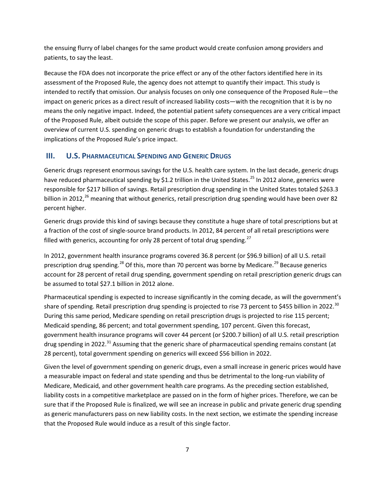the ensuing flurry of label changes for the same product would create confusion among providers and patients, to say the least.

Because the FDA does not incorporate the price effect or any of the other factors identified here in its assessment of the Proposed Rule, the agency does not attempt to quantify their impact. This study is intended to rectify that omission. Our analysis focuses on only one consequence of the Proposed Rule—the impact on generic prices as a direct result of increased liability costs—with the recognition that it is by no means the only negative impact. Indeed, the potential patient safety consequences are a very critical impact of the Proposed Rule, albeit outside the scope of this paper. Before we present our analysis, we offer an overview of current U.S. spending on generic drugs to establish a foundation for understanding the implications of the Proposed Rule's price impact.

## **III. U.S. PHARMACEUTICAL SPENDING AND GENERIC DRUGS**

Generic drugs represent enormous savings for the U.S. health care system. In the last decade, generic drugs have reduced pharmaceutical spending by \$1.2 trillion in the United States.<sup>[25](#page-14-23)</sup> In 2012 alone, generics were responsible for \$217 billion of savings. Retail prescription drug spending in the United States totaled \$263.3 billion in 2012,<sup>[26](#page-14-24)</sup> meaning that without generics, retail prescription drug spending would have been over 82 percent higher.

Generic drugs provide this kind of savings because they constitute a huge share of total prescriptions but at a fraction of the cost of single-source brand products. In 2012, 84 percent of all retail prescriptions were filled with generics, accounting for only 28 percent of total drug spending.<sup>[27](#page-14-25)</sup>

In 2012, government health insurance programs covered 36.8 percent (or \$96.9 billion) of all U.S. retail prescription drug spending.<sup>[28](#page-14-26)</sup> Of this, more than 70 percent was borne by Medicare.<sup>[29](#page-14-27)</sup> Because generics account for 28 percent of retail drug spending, government spending on retail prescription generic drugs can be assumed to total \$27.1 billion in 2012 alone.

Pharmaceutical spending is expected to increase significantly in the coming decade, as will the government's share of spending. Retail prescription drug spending is projected to rise 73 percent to \$455 billion in 2022.<sup>[30](#page-14-28)</sup> During this same period, Medicare spending on retail prescription drugs is projected to rise 115 percent; Medicaid spending, 86 percent; and total government spending, 107 percent. Given this forecast, government health insurance programs will cover 44 percent (or \$200.7 billion) of all U.S. retail prescription drug spending in 2022.<sup>[31](#page-14-29)</sup> Assuming that the generic share of pharmaceutical spending remains constant (at 28 percent), total government spending on generics will exceed \$56 billion in 2022.

Given the level of government spending on generic drugs, even a small increase in generic prices would have a measurable impact on federal and state spending and thus be detrimental to the long-run viability of Medicare, Medicaid, and other government health care programs. As the preceding section established, liability costs in a competitive marketplace are passed on in the form of higher prices. Therefore, we can be sure that if the Proposed Rule is finalized, we will see an increase in public and private generic drug spending as generic manufacturers pass on new liability costs. In the next section, we estimate the spending increase that the Proposed Rule would induce as a result of this single factor.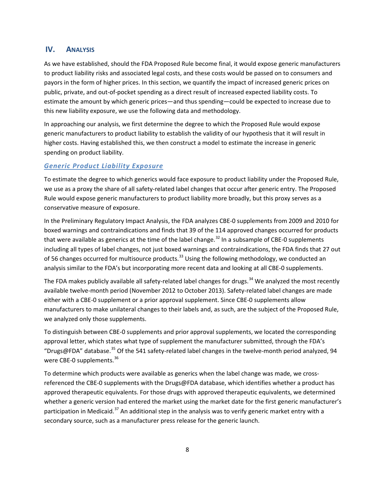## **IV. ANALYSIS**

As we have established, should the FDA Proposed Rule become final, it would expose generic manufacturers to product liability risks and associated legal costs, and these costs would be passed on to consumers and payors in the form of higher prices. In this section, we quantify the impact of increased generic prices on public, private, and out-of-pocket spending as a direct result of increased expected liability costs. To estimate the amount by which generic prices—and thus spending—could be expected to increase due to this new liability exposure, we use the following data and methodology.

In approaching our analysis, we first determine the degree to which the Proposed Rule would expose generic manufacturers to product liability to establish the validity of our hypothesis that it will result in higher costs. Having established this, we then construct a model to estimate the increase in generic spending on product liability.

### *Generic Product Liability Exposure*

To estimate the degree to which generics would face exposure to product liability under the Proposed Rule, we use as a proxy the share of all safety-related label changes that occur after generic entry. The Proposed Rule would expose generic manufacturers to product liability more broadly, but this proxy serves as a conservative measure of exposure.

In the Preliminary Regulatory Impact Analysis, the FDA analyzes CBE-0 supplements from 2009 and 2010 for boxed warnings and contraindications and finds that 39 of the 114 approved changes occurred for products that were available as generics at the time of the label change.<sup>[32](#page-14-30)</sup> In a subsample of CBE-0 supplements including all types of label changes, not just boxed warnings and contraindications, the FDA finds that 27 out of 56 changes occurred for multisource products.<sup>[33](#page-14-31)</sup> Using the following methodology, we conducted an analysis similar to the FDA's but incorporating more recent data and looking at all CBE-0 supplements.

The FDA makes publicly available all safety-related label changes for drugs.<sup>[34](#page-14-32)</sup> We analyzed the most recently available twelve-month period (November 2012 to October 2013). Safety-related label changes are made either with a CBE-0 supplement or a prior approval supplement. Since CBE-0 supplements allow manufacturers to make unilateral changes to their labels and, as such, are the subject of the Proposed Rule, we analyzed only those supplements.

To distinguish between CBE-0 supplements and prior approval supplements, we located the corresponding approval letter, which states what type of supplement the manufacturer submitted, through the FDA's "Drugs@FDA" database. [35](#page-14-33) Of the 541 safety-related label changes in the twelve-month period analyzed, 94 were CBE-0 supplements.<sup>[36](#page-14-34)</sup>

To determine which products were available as generics when the label change was made, we crossreferenced the CBE-0 supplements with the Drugs@FDA database, which identifies whether a product has approved therapeutic equivalents. For those drugs with approved therapeutic equivalents, we determined whether a generic version had entered the market using the market date for the first generic manufacturer's participation in Medicaid.<sup>[37](#page-14-35)</sup> An additional step in the analysis was to verify generic market entry with a secondary source, such as a manufacturer press release for the generic launch.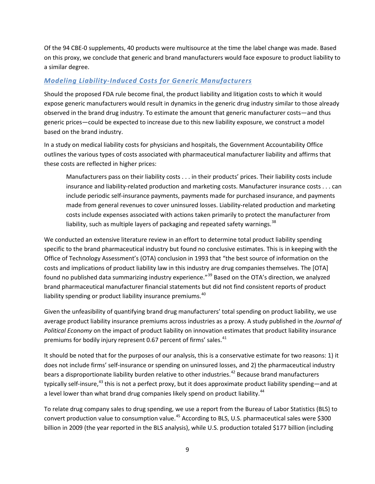Of the 94 CBE-0 supplements, 40 products were multisource at the time the label change was made. Based on this proxy, we conclude that generic and brand manufacturers would face exposure to product liability to a similar degree.

## *Modeling Liability-Induced Costs for Generic Manufacturers*

Should the proposed FDA rule become final, the product liability and litigation costs to which it would expose generic manufacturers would result in dynamics in the generic drug industry similar to those already observed in the brand drug industry. To estimate the amount that generic manufacturer costs—and thus generic prices—could be expected to increase due to this new liability exposure, we construct a model based on the brand industry.

In a study on medical liability costs for physicians and hospitals, the Government Accountability Office outlines the various types of costs associated with pharmaceutical manufacturer liability and affirms that these costs are reflected in higher prices:

Manufacturers pass on their liability costs . . . in their products' prices. Their liability costs include insurance and liability-related production and marketing costs. Manufacturer insurance costs . . . can include periodic self-insurance payments, payments made for purchased insurance, and payments made from general revenues to cover uninsured losses. Liability-related production and marketing costs include expenses associated with actions taken primarily to protect the manufacturer from liability, such as multiple layers of packaging and repeated safety warnings.  $38$ 

We conducted an extensive literature review in an effort to determine total product liability spending specific to the brand pharmaceutical industry but found no conclusive estimates. This is in keeping with the Office of Technology Assessment's (OTA) conclusion in 1993 that "the best source of information on the costs and implications of product liability law in this industry are drug companies themselves. The [OTA] found no published data summarizing industry experience."<sup>[39](#page-14-37)</sup> Based on the OTA's direction, we analyzed brand pharmaceutical manufacturer financial statements but did not find consistent reports of product liability spending or product liability insurance premiums.<sup>[40](#page-14-38)</sup>

Given the unfeasibility of quantifying brand drug manufacturers' total spending on product liability, we use average product liability insurance premiums across industries as a proxy. A study published in the *Journal of Political Economy* on the impact of product liability on innovation estimates that product liability insurance premiums for bodily injury represent 0.67 percent of firms' sales. $41$ 

It should be noted that for the purposes of our analysis, this is a conservative estimate for two reasons: 1) it does not include firms' self-insurance or spending on uninsured losses, and 2) the pharmaceutical industry bears a disproportionate liability burden relative to other industries.<sup>[42](#page-14-40)</sup> Because brand manufacturers typically self-insure,<sup>[43](#page-14-41)</sup> this is not a perfect proxy, but it does approximate product liability spending—and at a level lower than what brand drug companies likely spend on product liability.<sup>[44](#page-14-42)</sup>

To relate drug company sales to drug spending, we use a report from the Bureau of Labor Statistics (BLS) to convert production value to consumption value.<sup>[45](#page-14-43)</sup> According to BLS, U.S. pharmaceutical sales were \$300 billion in 2009 (the year reported in the BLS analysis), while U.S. production totaled \$177 billion (including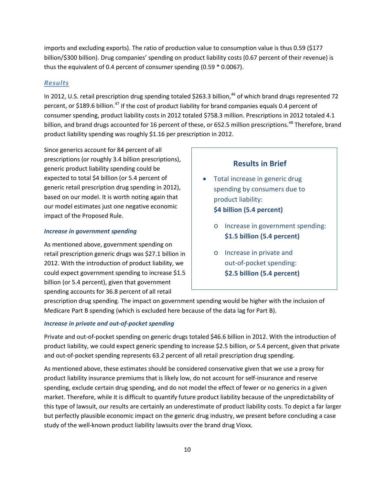imports and excluding exports). The ratio of production value to consumption value is thus 0.59 (\$177 billion/\$300 billion). Drug companies' spending on product liability costs (0.67 percent of their revenue) is thus the equivalent of 0.4 percent of consumer spending (0.59 \* 0.0067).

## *Results*

In 2012, U.S. retail prescription drug spending totaled \$263.3 billion,<sup>[46](#page-14-44)</sup> of which brand drugs represented 72 percent, or \$189.6 billion.<sup>[47](#page-14-45)</sup> If the cost of product liability for brand companies equals 0.4 percent of consumer spending, product liability costs in 2012 totaled \$758.3 million. Prescriptions in 2012 totaled 4.1 billion, and brand drugs accounted for 16 percent of these, or 652.5 million prescriptions.<sup>[48](#page-14-46)</sup> Therefore, brand product liability spending was roughly \$1.16 per prescription in 2012.

Since generics account for 84 percent of all prescriptions (or roughly 3.4 billion prescriptions), generic product liability spending could be expected to total \$4 billion (or 5.4 percent of generic retail prescription drug spending in 2012), based on our model. It is worth noting again that our model estimates just one negative economic impact of the Proposed Rule.

### *Increase in government spending*

As mentioned above, government spending on retail prescription generic drugs was \$27.1 billion in 2012. With the introduction of product liability, we could expect government spending to increase \$1.5 billion (or 5.4 percent), given that government spending accounts for 36.8 percent of all retail

## **Results in Brief** Total increase in generic drug spending by consumers due to product liability: **\$4 billion (5.4 percent)**

- o Increase in government spending: **\$1.5 billion (5.4 percent)**
- o Increase in private and out-of-pocket spending: **\$2.5 billion (5.4 percent)**

prescription drug spending. The impact on government spending would be higher with the inclusion of Medicare Part B spending (which is excluded here because of the data lag for Part B).

### *Increase in private and out-of-pocket spending*

Private and out-of-pocket spending on generic drugs totaled \$46.6 billion in 2012. With the introduction of product liability, we could expect generic spending to increase \$2.5 billion, or 5.4 percent, given that private and out-of-pocket spending represents 63.2 percent of all retail prescription drug spending.

As mentioned above, these estimates should be considered conservative given that we use a proxy for product liability insurance premiums that is likely low, do not account for self-insurance and reserve spending, exclude certain drug spending, and do not model the effect of fewer or no generics in a given market. Therefore, while it is difficult to quantify future product liability because of the unpredictability of this type of lawsuit, our results are certainly an underestimate of product liability costs. To depict a far larger but perfectly plausible economic impact on the generic drug industry, we present before concluding a case study of the well-known product liability lawsuits over the brand drug Vioxx.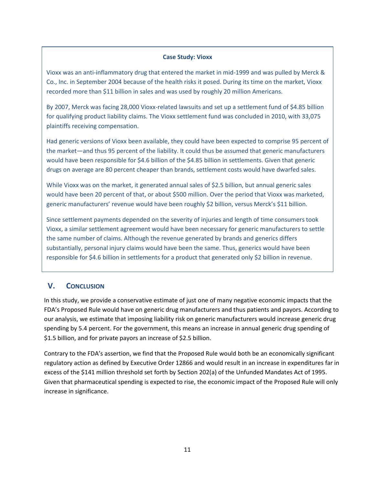#### **Case Study: Vioxx**

Vioxx was an anti-inflammatory drug that entered the market in mid-1999 and was pulled by Merck & Co., Inc. in September 2004 because of the health risks it posed. During its time on the market, Vioxx recorded more than \$11 billion in sales and was used by roughly 20 million Americans.

By 2007, Merck was facing 28,000 Vioxx-related lawsuits and set up a settlement fund of \$4.85 billion for qualifying product liability claims. The Vioxx settlement fund was concluded in 2010, with 33,075 plaintiffs receiving compensation.

Had generic versions of Vioxx been available, they could have been expected to comprise 95 percent of the market—and thus 95 percent of the liability. It could thus be assumed that generic manufacturers would have been responsible for \$4.6 billion of the \$4.85 billion in settlements. Given that generic drugs on average are 80 percent cheaper than brands, settlement costs would have dwarfed sales.

While Vioxx was on the market, it generated annual sales of \$2.5 billion, but annual generic sales would have been 20 percent of that, or about \$500 million. Over the period that Vioxx was marketed, generic manufacturers' revenue would have been roughly \$2 billion, versus Merck's \$11 billion.

Since settlement payments depended on the severity of injuries and length of time consumers took Vioxx, a similar settlement agreement would have been necessary for generic manufacturers to settle the same number of claims. Although the revenue generated by brands and generics differs substantially, personal injury claims would have been the same. Thus, generics would have been responsible for \$4.6 billion in settlements for a product that generated only \$2 billion in revenue.

## **V. CONCLUSION**

In this study, we provide a conservative estimate of just one of many negative economic impacts that the FDA's Proposed Rule would have on generic drug manufacturers and thus patients and payors. According to our analysis, we estimate that imposing liability risk on generic manufacturers would increase generic drug spending by 5.4 percent. For the government, this means an increase in annual generic drug spending of \$1.5 billion, and for private payors an increase of \$2.5 billion.

Contrary to the FDA's assertion, we find that the Proposed Rule would both be an economically significant regulatory action as defined by Executive Order 12866 and would result in an increase in expenditures far in excess of the \$141 million threshold set forth by Section 202(a) of the Unfunded Mandates Act of 1995. Given that pharmaceutical spending is expected to rise, the economic impact of the Proposed Rule will only increase in significance.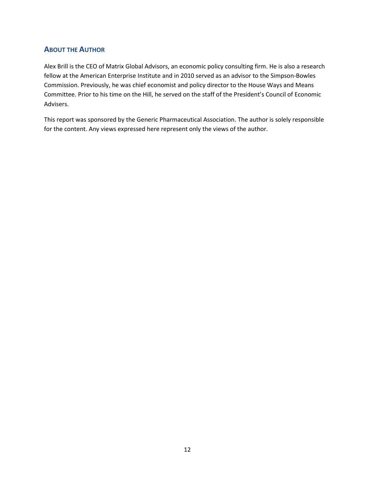## **ABOUT THE AUTHOR**

Alex Brill is the CEO of Matrix Global Advisors, an economic policy consulting firm. He is also a research fellow at the American Enterprise Institute and in 2010 served as an advisor to the Simpson-Bowles Commission. Previously, he was chief economist and policy director to the House Ways and Means Committee. Prior to his time on the Hill, he served on the staff of the President's Council of Economic Advisers.

This report was sponsored by the Generic Pharmaceutical Association. The author is solely responsible for the content. Any views expressed here represent only the views of the author.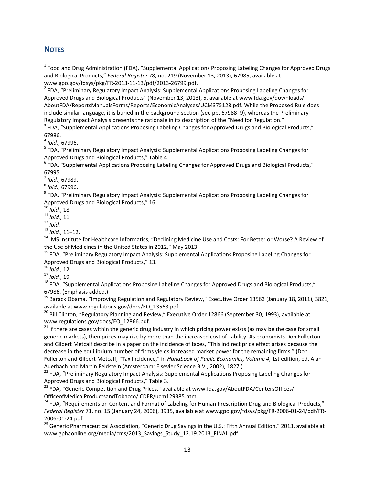## **NOTES**

 $<sup>2</sup>$  FDA, "Preliminary Regulatory Impact Analysis: Supplemental Applications Proposing Labeling Changes for</sup> Approved Drugs and Biological Products" (November 13, 2013), 5, available at www.fda.gov/downloads/ AboutFDA/ReportsManualsForms/Reports/EconomicAnalyses/UCM375128.pdf. While the Proposed Rule does include similar language, it is buried in the background section (see pp. 67988–9), whereas the Preliminary Regulatory Impact Analysis presents the rationale in its description of the "Need for Regulation."

<sup>3</sup> FDA, "Supplemental Applications Proposing Labeling Changes for Approved Drugs and Biological Products,"

67986.<br><sup>4</sup> *Ibid.*, 67996.<br><sup>5</sup> FDA, "Preliminary Regulatory Impact Analysis: Supplemental Applications Proposing Labeling Changes for Approved Drugs and Biological Products," Table 4.<br><sup>6</sup> FDA, "Supplemental Applications Proposing Labeling Changes for Approved Drugs and Biological Products,"

67995.

<sup>7</sup> Ibid., 67989.<br><sup>8</sup> Ibid., 67996.<br><sup>9</sup> FDA, "Preliminary Regulatory Impact Analysis: Supplemental Applications Proposing Labeling Changes for Approved Drugs and Biological Products," 16.<br><sup>10</sup> *Ibid.*, 18.<br><sup>11</sup> *Ibid.*, 11.<br><sup>12</sup> *Ibid.*. 11–12.

<sup>14</sup> IMS Institute for Healthcare Informatics, "Declining Medicine Use and Costs: For Better or Worse? A Review of

the Use of Medicines in the United States in 2012," May 2013.<br><sup>15</sup> FDA, "Preliminary Regulatory Impact Analysis: Supplemental Applications Proposing Labeling Changes for<br>Approved Drugs and Biological Products," 13.

<sup>16</sup> *Ibid.*, 12.<br><sup>17</sup> *Ibid.*, 19.<br><sup>18</sup> FDA, "Supplemental Applications Proposing Labeling Changes for Approved Drugs and Biological Products,"

67986. (Emphasis added.)<br><sup>19</sup> Barack Obama, "Improving Regulation and Regulatory Review," Executive Order 13563 (January 18, 2011), 3821,<br>available at www.regulations.gov/docs/EO\_13563.pdf.

 $^{20}$  Bill Clinton, "Regulatory Planning and Review," Executive Order 12866 (September 30, 1993), available at www.regulations.gov/docs/EO\_12866.pdf.<br><sup>21</sup> If there are cases within the generic drug industry in which pricing power exists (as may be the case for small

generic markets), then prices may rise by more than the increased cost of liability. As economists Don Fullerton and Gilbert Metcalf describe in a paper on the incidence of taxes, "This indirect price effect arises because the decrease in the equilibrium number of firms yields increased market power for the remaining firms." (Don Fullerton and Gilbert Metcalf, "Tax Incidence," in *Handbook of Public Economics, Volume 4*, 1st edition, ed. Alan

Auerbach and Martin Feldstein (Amsterdam: Elsevier Science B.V., 2002), 1827.)<br><sup>22</sup> FDA, "Preliminary Regulatory Impact Analysis: Supplemental Applications Proposing Labeling Changes for<br>Approved Drugs and Biological Produ

<sup>23</sup> FDA, "Generic Competition and Drug Prices," available at www.fda.gov/AboutFDA/CentersOffices/

OfficeofMedicalProductsandTobacco/ CDER/ucm129385.htm.<br><sup>24</sup> FDA, "Requirements on Content and Format of Labeling for Human Prescription Drug and Biological Products," *Federal Register* 71, no. 15 (January 24, 2006), 3935, available at www.gpo.gov/fdsys/pkg/FR-2006-01-24/pdf/FR-

2006-01-24.pdf.<br><sup>25</sup> Generic Pharmaceutical Association, "Generic Drug Savings in the U.S.: Fifth Annual Edition," 2013, available at www.gphaonline.org/media/cms/2013 Savings Study 12.19.2013 FINAL.pdf.

<span id="page-13-0"></span> $1$  Food and Drug Administration (FDA), "Supplemental Applications Proposing Labeling Changes for Approved Drugs and Biological Products," *Federal Register* 78, no. 219 (November 13, 2013), 67985, available at